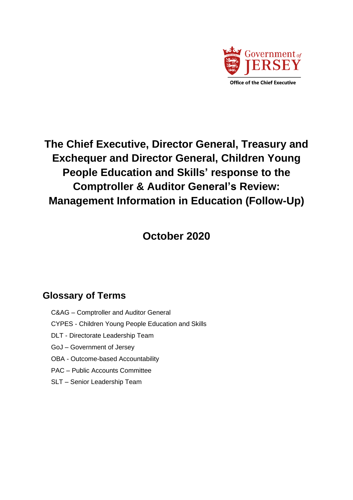

# **The Chief Executive, Director General, Treasury and Exchequer and Director General, Children Young People Education and Skills' response to the Comptroller & Auditor General's Review: [Management Information in Education \(Follow-Up\)](https://www.jerseyauditoffice.je/wp-content/uploads/2020/09/CAG-Report-on-MI-In-Education-Follow-up.pdf)**

**October 2020**

# **Glossary of Terms**

- C&AG Comptroller and Auditor General
- CYPES Children Young People Education and Skills
- DLT Directorate Leadership Team
- GoJ Government of Jersey
- OBA Outcome-based Accountability
- PAC Public Accounts Committee
- SLT Senior Leadership Team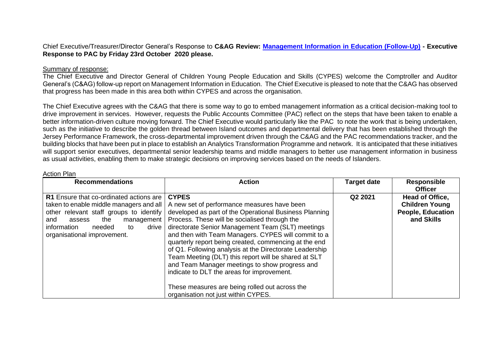Chief Executive/Treasurer/Director General's Response to **C&AG Review: [Management Information in Education \(Follow-Up\)](https://www.jerseyauditoffice.je/wp-content/uploads/2020/09/CAG-Report-on-MI-In-Education-Follow-up.pdf) - Executive Response to PAC by Friday 23rd October 2020 please.**

#### Summary of response:

Action Plan

The Chief Executive and Director General of Children Young People Education and Skills (CYPES) welcome the Comptroller and Auditor General's (C&AG) follow-up report on Management Information in Education. The Chief Executive is pleased to note that the C&AG has observed that progress has been made in this area both within CYPES and across the organisation.

The Chief Executive agrees with the C&AG that there is some way to go to embed management information as a critical decision-making tool to drive improvement in services. However, requests the Public Accounts Committee (PAC) reflect on the steps that have been taken to enable a better information-driven culture moving forward. The Chief Executive would particularly like the PAC to note the work that is being undertaken, such as the initiative to describe the golden thread between Island outcomes and departmental delivery that has been established through the Jersey Performance Framework, the cross-departmental improvement driven through the C&AG and the PAC recommendations tracker, and the building blocks that have been put in place to establish an Analytics Transformation Programme and network. It is anticipated that these initiatives will support senior executives, departmental senior leadership teams and middle managers to better use management information in business as usual activities, enabling them to make strategic decisions on improving services based on the needs of Islanders.

| <b>Recommendations</b>                                                                                                                                                                                                                       | <b>Action</b>                                                                                                                                                                                                                                                                                                                                                                                                                                                                                                                                                                                                                                           | <b>Target date</b> | <b>Responsible</b><br><b>Officer</b>                                               |
|----------------------------------------------------------------------------------------------------------------------------------------------------------------------------------------------------------------------------------------------|---------------------------------------------------------------------------------------------------------------------------------------------------------------------------------------------------------------------------------------------------------------------------------------------------------------------------------------------------------------------------------------------------------------------------------------------------------------------------------------------------------------------------------------------------------------------------------------------------------------------------------------------------------|--------------------|------------------------------------------------------------------------------------|
| R1 Ensure that co-ordinated actions are<br>taken to enable middle managers and all<br>other relevant staff groups to identify<br>the<br>management  <br>and<br>assess<br>information<br>drive<br>needed<br>to<br>organisational improvement. | <b>CYPES</b><br>A new set of performance measures have been<br>developed as part of the Operational Business Planning<br>Process. These will be socialised through the<br>directorate Senior Management Team (SLT) meetings<br>and then with Team Managers. CYPES will commit to a<br>quarterly report being created, commencing at the end<br>of Q1. Following analysis at the Directorate Leadership<br>Team Meeting (DLT) this report will be shared at SLT<br>and Team Manager meetings to show progress and<br>indicate to DLT the areas for improvement.<br>These measures are being rolled out across the<br>organisation not just within CYPES. | Q2 2021            | Head of Office,<br><b>Children Young</b><br><b>People, Education</b><br>and Skills |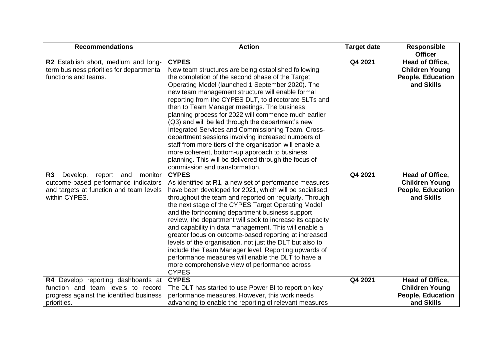| <b>Recommendations</b>                                                                                                                      | <b>Action</b>                                                                                                                                                                                                                                                                                                                                                                                                                                                                                                                                                                                                                                                                                                                                                           | <b>Target date</b> | <b>Responsible</b><br><b>Officer</b>                                               |
|---------------------------------------------------------------------------------------------------------------------------------------------|-------------------------------------------------------------------------------------------------------------------------------------------------------------------------------------------------------------------------------------------------------------------------------------------------------------------------------------------------------------------------------------------------------------------------------------------------------------------------------------------------------------------------------------------------------------------------------------------------------------------------------------------------------------------------------------------------------------------------------------------------------------------------|--------------------|------------------------------------------------------------------------------------|
| R2 Establish short, medium and long-<br>term business priorities for departmental<br>functions and teams.                                   | <b>CYPES</b><br>New team structures are being established following<br>the completion of the second phase of the Target<br>Operating Model (launched 1 September 2020). The<br>new team management structure will enable formal<br>reporting from the CYPES DLT, to directorate SLTs and<br>then to Team Manager meetings. The business<br>planning process for 2022 will commence much earlier<br>(Q3) and will be led through the department's new<br>Integrated Services and Commissioning Team. Cross-<br>department sessions involving increased numbers of<br>staff from more tiers of the organisation will enable a<br>more coherent, bottom-up approach to business<br>planning. This will be delivered through the focus of<br>commission and transformation. | Q4 2021            | Head of Office,<br><b>Children Young</b><br><b>People, Education</b><br>and Skills |
| R3<br>Develop,<br>report and<br>monitor<br>outcome-based performance indicators<br>and targets at function and team levels<br>within CYPES. | <b>CYPES</b><br>As identified at R1, a new set of performance measures<br>have been developed for 2021, which will be socialised<br>throughout the team and reported on regularly. Through<br>the next stage of the CYPES Target Operating Model<br>and the forthcoming department business support<br>review, the department will seek to increase its capacity<br>and capability in data management. This will enable a<br>greater focus on outcome-based reporting at increased<br>levels of the organisation, not just the DLT but also to<br>include the Team Manager level. Reporting upwards of<br>performance measures will enable the DLT to have a<br>more comprehensive view of performance across<br>CYPES.                                                 | Q4 2021            | Head of Office,<br><b>Children Young</b><br><b>People, Education</b><br>and Skills |
| R4 Develop reporting dashboards at<br>function and team levels to record<br>progress against the identified business<br>priorities.         | <b>CYPES</b><br>The DLT has started to use Power BI to report on key<br>performance measures. However, this work needs<br>advancing to enable the reporting of relevant measures                                                                                                                                                                                                                                                                                                                                                                                                                                                                                                                                                                                        | Q4 2021            | Head of Office,<br><b>Children Young</b><br><b>People, Education</b><br>and Skills |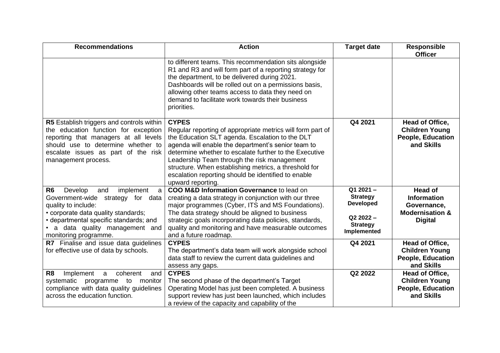| <b>Recommendations</b>                                                                                                                                                                                                                                      | <b>Action</b>                                                                                                                                                                                                                                                                                                                                                                                                                     | <b>Target date</b>                                                                                         | <b>Responsible</b><br><b>Officer</b>                                                                |
|-------------------------------------------------------------------------------------------------------------------------------------------------------------------------------------------------------------------------------------------------------------|-----------------------------------------------------------------------------------------------------------------------------------------------------------------------------------------------------------------------------------------------------------------------------------------------------------------------------------------------------------------------------------------------------------------------------------|------------------------------------------------------------------------------------------------------------|-----------------------------------------------------------------------------------------------------|
|                                                                                                                                                                                                                                                             | to different teams. This recommendation sits alongside<br>R1 and R3 and will form part of a reporting strategy for<br>the department, to be delivered during 2021.<br>Dashboards will be rolled out on a permissions basis,<br>allowing other teams access to data they need on<br>demand to facilitate work towards their business<br>priorities.                                                                                |                                                                                                            |                                                                                                     |
| <b>R5</b> Establish triggers and controls within<br>the education function for exception<br>reporting that managers at all levels<br>should use to determine whether to<br>escalate issues as part of the risk<br>management process.                       | <b>CYPES</b><br>Regular reporting of appropriate metrics will form part of<br>the Education SLT agenda. Escalation to the DLT<br>agenda will enable the department's senior team to<br>determine whether to escalate further to the Executive<br>Leadership Team through the risk management<br>structure. When establishing metrics, a threshold for<br>escalation reporting should be identified to enable<br>upward reporting. | Q4 2021                                                                                                    | Head of Office,<br><b>Children Young</b><br><b>People, Education</b><br>and Skills                  |
| Develop<br>R <sub>6</sub><br>and<br>implement<br>a<br>Government-wide strategy for data<br>quality to include:<br>• corporate data quality standards;<br>• departmental specific standards; and<br>• a data quality management and<br>monitoring programme. | COO M&D Information Governance to lead on<br>creating a data strategy in conjunction with our three<br>major programmes (Cyber, ITS and MS Foundations).<br>The data strategy should be aligned to business<br>strategic goals incorporating data policies, standards,<br>quality and monitoring and have measurable outcomes<br>and a future roadmap.                                                                            | $\overline{Q12021}$ –<br><b>Strategy</b><br><b>Developed</b><br>Q2 2022-<br><b>Strategy</b><br>Implemented | <b>Head of</b><br><b>Information</b><br>Governance,<br><b>Modernisation &amp;</b><br><b>Digital</b> |
| R7 Finalise and issue data guidelines<br>for effective use of data by schools.                                                                                                                                                                              | <b>CYPES</b><br>The department's data team will work alongside school<br>data staff to review the current data guidelines and<br>assess any gaps.                                                                                                                                                                                                                                                                                 | Q4 2021                                                                                                    | Head of Office,<br><b>Children Young</b><br><b>People, Education</b><br>and Skills                  |
| Implement<br>coherent<br>R <sub>8</sub><br>a<br>and<br>systematic programme to<br>monitor<br>compliance with data quality guidelines<br>across the education function.                                                                                      | <b>CYPES</b><br>The second phase of the department's Target<br>Operating Model has just been completed. A business<br>support review has just been launched, which includes<br>a review of the capacity and capability of the                                                                                                                                                                                                     | Q2 2022                                                                                                    | Head of Office,<br><b>Children Young</b><br><b>People, Education</b><br>and Skills                  |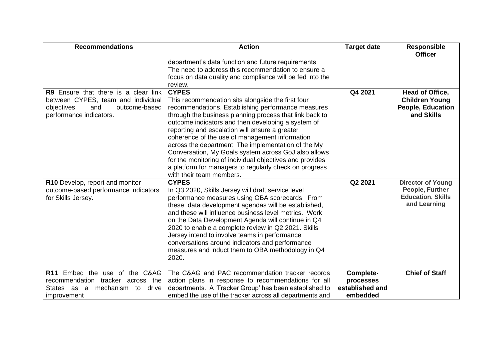| <b>Recommendations</b>                                                                                                                      | <b>Action</b>                                                                                                                                                                                                                                                                                                                                                                                                                                                                                                                                                                                                 | <b>Target date</b>                                    | <b>Responsible</b><br><b>Officer</b>                                                    |
|---------------------------------------------------------------------------------------------------------------------------------------------|---------------------------------------------------------------------------------------------------------------------------------------------------------------------------------------------------------------------------------------------------------------------------------------------------------------------------------------------------------------------------------------------------------------------------------------------------------------------------------------------------------------------------------------------------------------------------------------------------------------|-------------------------------------------------------|-----------------------------------------------------------------------------------------|
|                                                                                                                                             | department's data function and future requirements.<br>The need to address this recommendation to ensure a<br>focus on data quality and compliance will be fed into the<br>review.                                                                                                                                                                                                                                                                                                                                                                                                                            |                                                       |                                                                                         |
| R9 Ensure that there is a clear link<br>between CYPES, team and individual<br>outcome-based<br>objectives<br>and<br>performance indicators. | <b>CYPES</b><br>This recommendation sits alongside the first four<br>recommendations. Establishing performance measures<br>through the business planning process that link back to<br>outcome indicators and then developing a system of<br>reporting and escalation will ensure a greater<br>coherence of the use of management information<br>across the department. The implementation of the My<br>Conversation, My Goals system across GoJ also allows<br>for the monitoring of individual objectives and provides<br>a platform for managers to regularly check on progress<br>with their team members. | Q4 2021                                               | Head of Office,<br><b>Children Young</b><br><b>People, Education</b><br>and Skills      |
| R10 Develop, report and monitor<br>outcome-based performance indicators<br>for Skills Jersey.                                               | <b>CYPES</b><br>In Q3 2020, Skills Jersey will draft service level<br>performance measures using OBA scorecards. From<br>these, data development agendas will be established,<br>and these will influence business level metrics. Work<br>on the Data Development Agenda will continue in Q4<br>2020 to enable a complete review in Q2 2021. Skills<br>Jersey intend to involve teams in performance<br>conversations around indicators and performance<br>measures and induct them to OBA methodology in Q4<br>2020.                                                                                         | Q2 2021                                               | <b>Director of Young</b><br>People, Further<br><b>Education, Skills</b><br>and Learning |
| R11 Embed the use of the C&AG<br>recommendation<br>tracker across the<br>mechanism to<br>States as<br>a<br>drive<br>improvement             | The C&AG and PAC recommendation tracker records<br>action plans in response to recommendations for all<br>departments. A 'Tracker Group' has been established to<br>embed the use of the tracker across all departments and                                                                                                                                                                                                                                                                                                                                                                                   | Complete-<br>processes<br>established and<br>embedded | <b>Chief of Staff</b>                                                                   |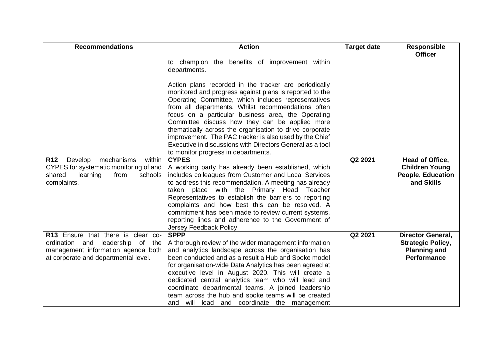| <b>Recommendations</b>                                                                                                                                  | <b>Action</b>                                                                                                                                                                                                                                                                                                                                                                                                                                                                                                                                                  | <b>Target date</b> | <b>Responsible</b><br><b>Officer</b>                                                              |
|---------------------------------------------------------------------------------------------------------------------------------------------------------|----------------------------------------------------------------------------------------------------------------------------------------------------------------------------------------------------------------------------------------------------------------------------------------------------------------------------------------------------------------------------------------------------------------------------------------------------------------------------------------------------------------------------------------------------------------|--------------------|---------------------------------------------------------------------------------------------------|
|                                                                                                                                                         | to champion the benefits of improvement within<br>departments.                                                                                                                                                                                                                                                                                                                                                                                                                                                                                                 |                    |                                                                                                   |
|                                                                                                                                                         | Action plans recorded in the tracker are periodically<br>monitored and progress against plans is reported to the<br>Operating Committee, which includes representatives<br>from all departments. Whilst recommendations often<br>focus on a particular business area, the Operating<br>Committee discuss how they can be applied more<br>thematically across the organisation to drive corporate<br>improvement. The PAC tracker is also used by the Chief<br>Executive in discussions with Directors General as a tool<br>to monitor progress in departments. |                    |                                                                                                   |
| <b>R12</b><br>Develop<br>mechanisms<br>within<br>CYPES for systematic monitoring of and<br>shared<br>learning<br>from<br>schools<br>complaints.         | <b>CYPES</b><br>A working party has already been established, which<br>includes colleagues from Customer and Local Services<br>to address this recommendation. A meeting has already<br>taken place with the Primary Head<br>Teacher<br>Representatives to establish the barriers to reporting<br>complaints and how best this can be resolved. A<br>commitment has been made to review current systems,<br>reporting lines and adherence to the Government of<br>Jersey Feedback Policy.                                                                      | Q2 2021            | Head of Office,<br><b>Children Young</b><br><b>People, Education</b><br>and Skills                |
| R13 Ensure that there is clear co-<br>ordination and leadership<br>of the<br>management information agenda both<br>at corporate and departmental level. | <b>SPPP</b><br>A thorough review of the wider management information<br>and analytics landscape across the organisation has<br>been conducted and as a result a Hub and Spoke model<br>for organisation-wide Data Analytics has been agreed at<br>executive level in August 2020. This will create a<br>dedicated central analytics team who will lead and<br>coordinate departmental teams. A joined leadership<br>team across the hub and spoke teams will be created<br>and will lead and coordinate the management                                         | Q2 2021            | <b>Director General,</b><br><b>Strategic Policy,</b><br><b>Planning and</b><br><b>Performance</b> |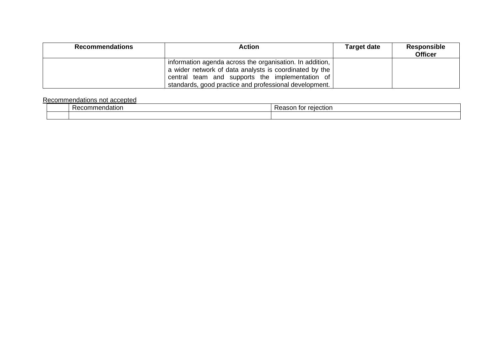| <b>Recommendations</b> | <b>Action</b>                                                                                                                                                                                                                   | <b>Target date</b> | <b>Responsible</b><br><b>Officer</b> |
|------------------------|---------------------------------------------------------------------------------------------------------------------------------------------------------------------------------------------------------------------------------|--------------------|--------------------------------------|
|                        | information agenda across the organisation. In addition,<br>a wider network of data analysts is coordinated by the<br>central team and supports the implementation of<br>standards, good practice and professional development. |                    |                                      |

## Recommendations not accepted

| naatior<br>Recon<br>.<br> | $\cdots$<br>٦ı<br>י הופטווסו.<br>100JU<br>- 191 |
|---------------------------|-------------------------------------------------|
|                           |                                                 |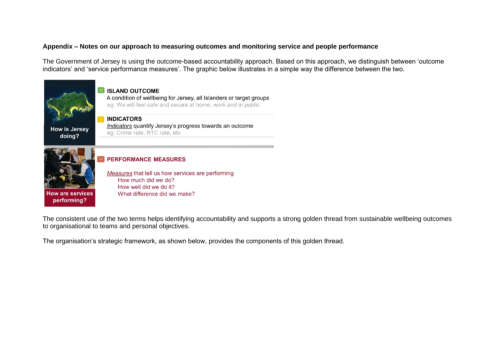## **Appendix – Notes on our approach to measuring outcomes and monitoring service and people performance**

The Government of Jersey is using the outcome-based accountability approach. Based on this approach, we distinguish between 'outcome indicators' and 'service performance measures'. The graphic below illustrates in a simple way the difference between the two.



The consistent use of the two terms helps identifying accountability and supports a strong golden thread from sustainable wellbeing outcomes to organisational to teams and personal objectives.

The organisation's strategic framework, as shown below, provides the components of this golden thread.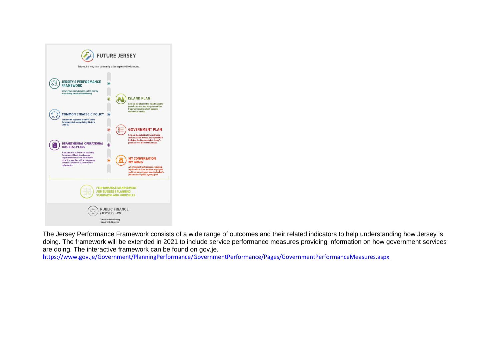

The Jersey Performance Framework consists of a wide range of outcomes and their related indicators to help understanding how Jersey is doing. The framework will be extended in 2021 to include service performance measures providing information on how government services are doing. The interactive framework can be found on gov.je.

<https://www.gov.je/Government/PlanningPerformance/GovernmentPerformance/Pages/GovernmentPerformanceMeasures.aspx>